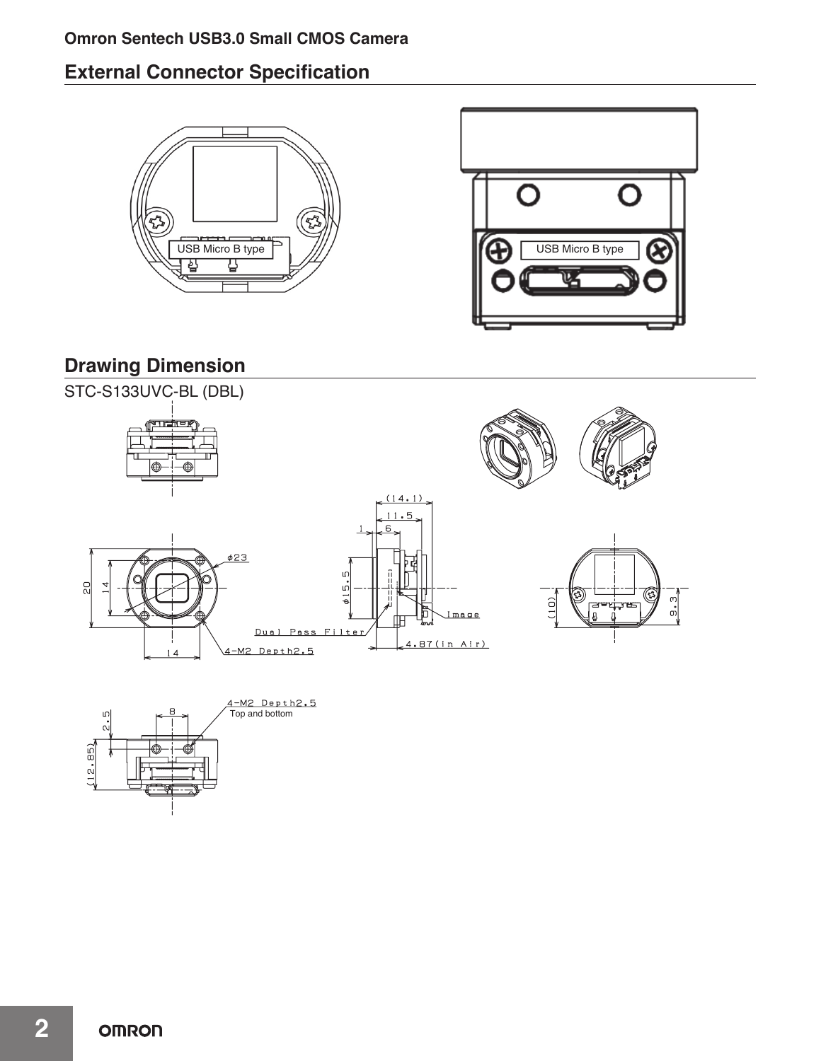# **Omron Sentech USB3.0 Small CMOS Camera**

# **External Connector Specification**





# **Drawing Dimension**





**2**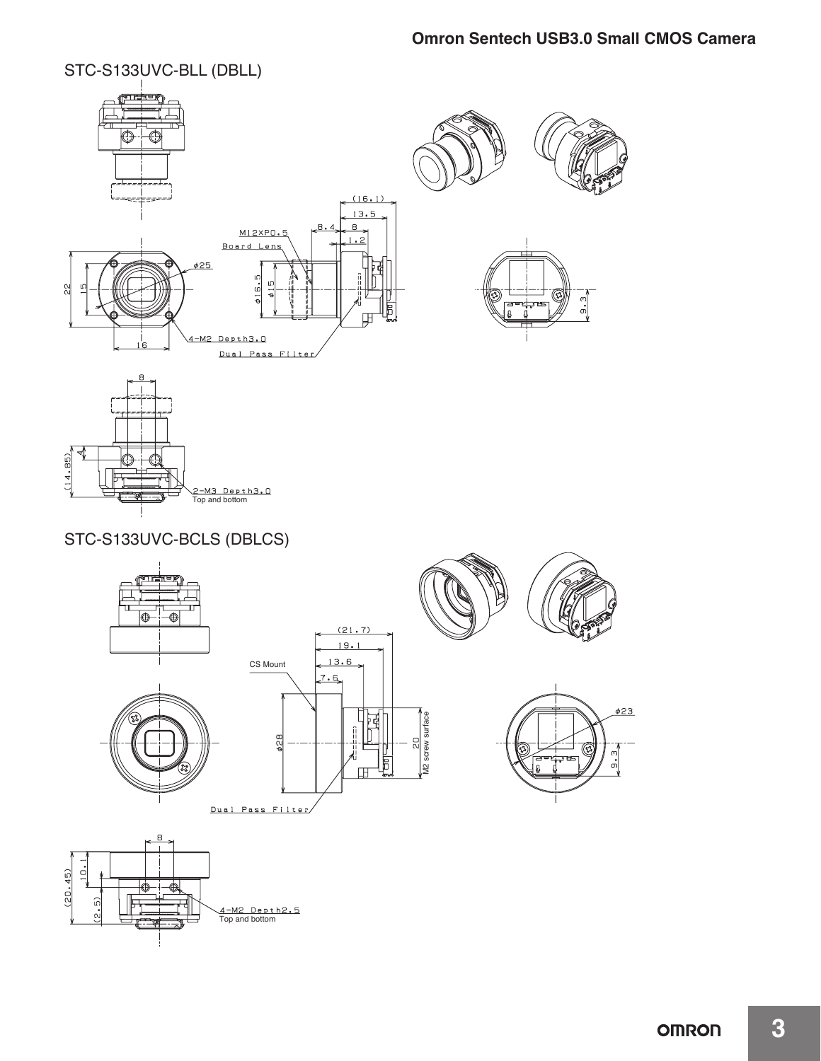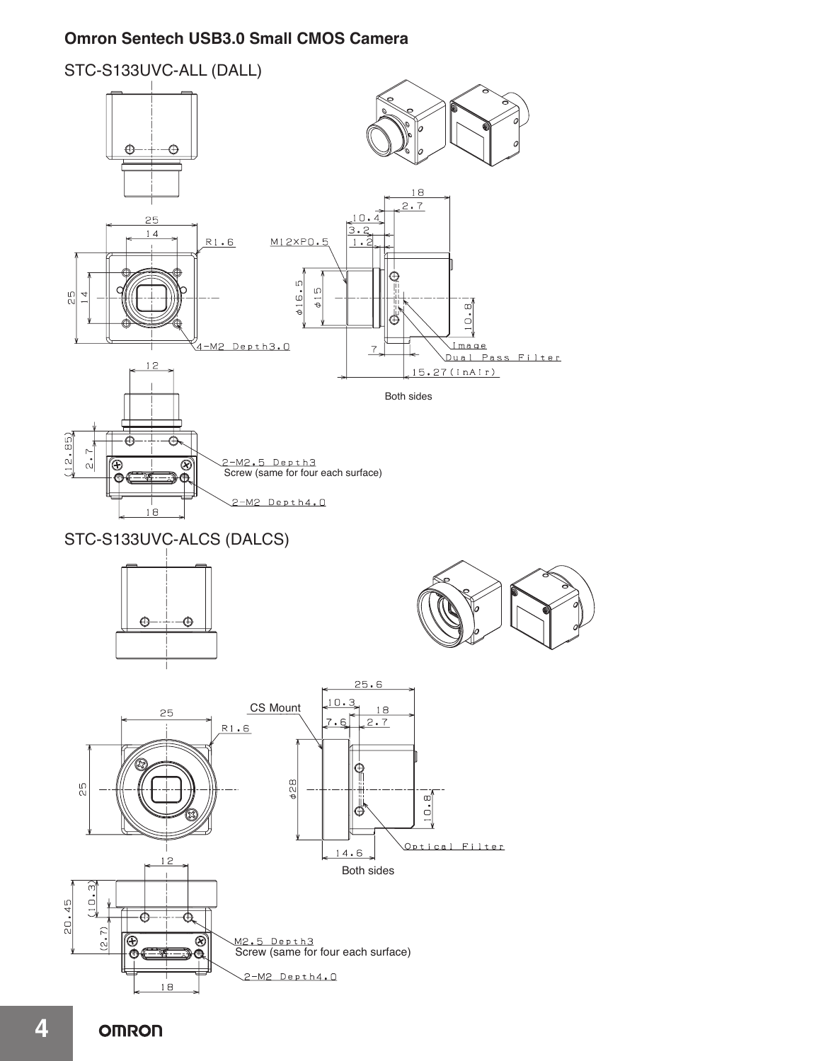# **Omron Sentech USB3.0 Small CMOS Camera**